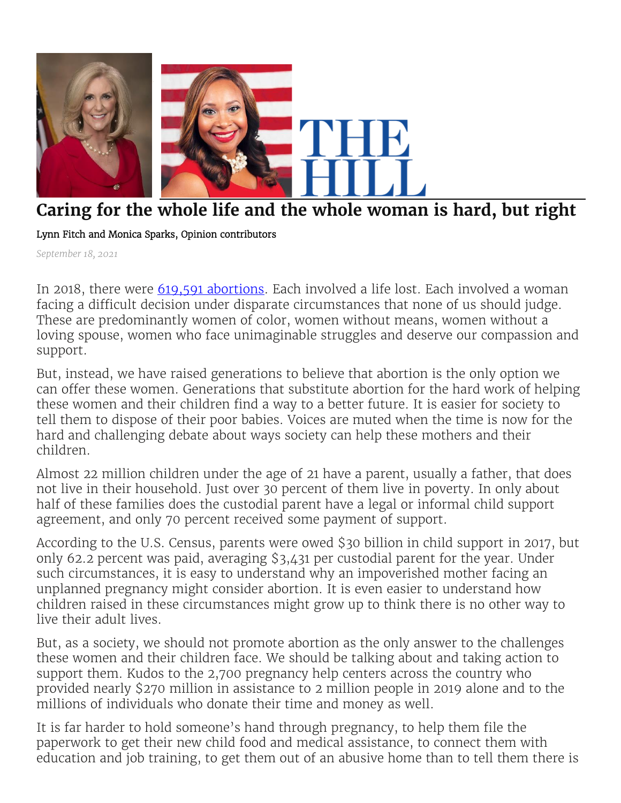

## **Caring for the whole life and the whole woman is hard, but right**

Lynn Fitch and Monica Sparks, Opinion contributors

*September 18, 2021*

In 2018, there were [619,591 abortions.](https://www.cdc.gov/mmwr/volumes/69/ss/ss6907a1.htm) Each involved a life lost. Each involved a woman facing a difficult decision under disparate circumstances that none of us should judge. These are predominantly women of color, women without means, women without a loving spouse, women who face unimaginable struggles and deserve our compassion and support.

But, instead, we have raised generations to believe that abortion is the only option we can offer these women. Generations that substitute abortion for the hard work of helping these women and their children find a way to a better future. It is easier for society to tell them to dispose of their poor babies. Voices are muted when the time is now for the hard and challenging debate about ways society can help these mothers and their children.

Almost 22 million children under the age of 21 have a parent, usually a father, that does not live in their household. Just over 30 percent of them live in poverty. In only about half of these families does the custodial parent have a legal or informal child support agreement, and only 70 percent received some payment of support.

According to the U.S. Census, parents were owed \$30 billion in child support in 2017, but only 62.2 percent was paid, averaging \$3,431 per custodial parent for the year. Under such circumstances, it is easy to understand why an impoverished mother facing an unplanned pregnancy might consider abortion. It is even easier to understand how children raised in these circumstances might grow up to think there is no other way to live their adult lives.

But, as a society, we should not promote abortion as the only answer to the challenges these women and their children face. We should be talking about and taking action to support them. Kudos to the 2,700 pregnancy help centers across the country who provided nearly \$270 million in assistance to 2 million people in 2019 alone and to the millions of individuals who donate their time and money as well.

It is far harder to hold someone's hand through pregnancy, to help them file the paperwork to get their new child food and medical assistance, to connect them with education and job training, to get them out of an abusive home than to tell them there is